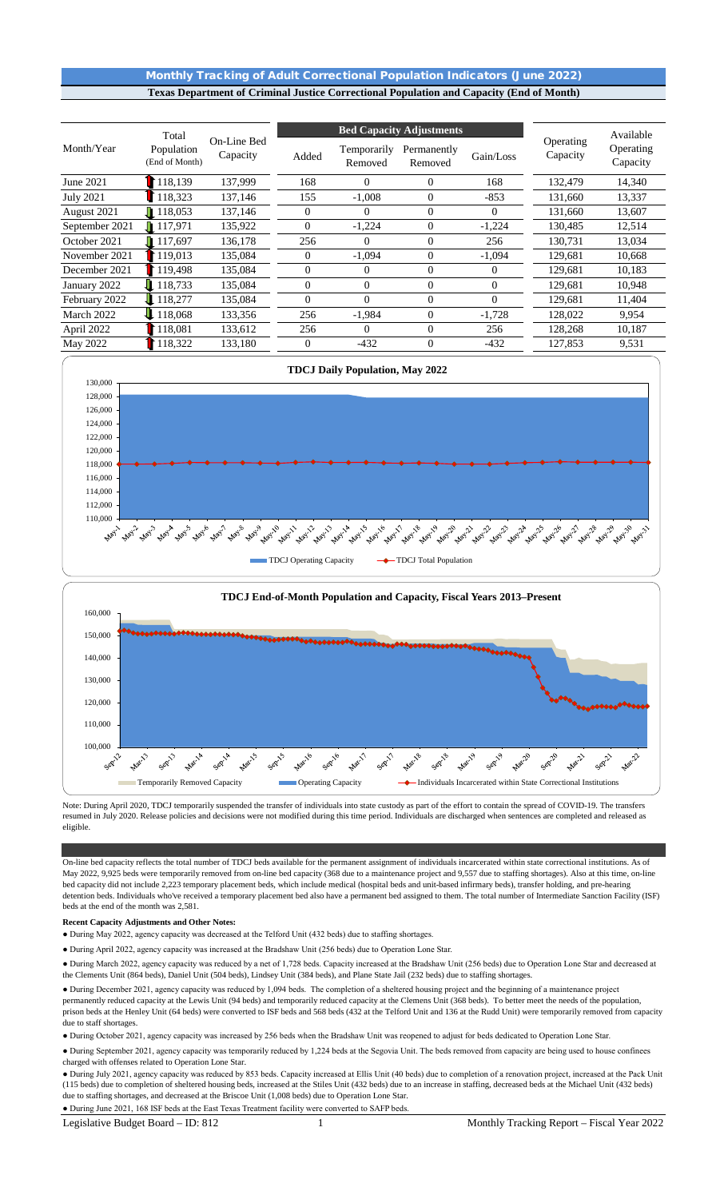## Monthly Tracking of Adult Correctional Population Indicators (June 2022) **Texas Department of Criminal Justice Correctional Population and Capacity (End of Month)**

|                  | Total                        |                         |                | <b>Bed Capacity Adjustments</b> |                        | Available      |                       |                       |
|------------------|------------------------------|-------------------------|----------------|---------------------------------|------------------------|----------------|-----------------------|-----------------------|
| Month/Year       | Population<br>(End of Month) | On-Line Bed<br>Capacity | Added          | Temporarily<br>Removed          | Permanently<br>Removed | Gain/Loss      | Operating<br>Capacity | Operating<br>Capacity |
| June 2021        | 118,139                      | 137,999                 | 168            | $\Omega$                        | $\overline{0}$         | 168            | 132,479               | 14,340                |
| <b>July 2021</b> | 118,323                      | 137,146                 | 155            | $-1,008$                        | $\overline{0}$         | $-853$         | 131,660               | 13,337                |
| August 2021      | $\blacksquare$ 118,053       | 137,146                 | $\overline{0}$ | $\Omega$                        | $\Omega$               | $\Omega$       | 131,660               | 13,607                |
| September 2021   | $\blacksquare$ 117,971       | 135,922                 | $\Omega$       | $-1,224$                        | $\mathbf{0}$           | $-1,224$       | 130,485               | 12,514                |
| October 2021     | $\blacksquare$ 117,697       | 136,178                 | 256            | $\Omega$                        | $\mathbf{0}$           | 256            | 130,731               | 13,034                |
| November 2021    | 119,013                      | 135,084                 | $\Omega$       | $-1,094$                        | $\Omega$               | $-1,094$       | 129,681               | 10,668                |
| December 2021    | 119,498                      | 135,084                 | $\overline{0}$ | $\Omega$                        | $\overline{0}$         | $\theta$       | 129,681               | 10,183                |
| January 2022     | $\downarrow$ 118.733         | 135,084                 | $\overline{0}$ | $\Omega$                        | $\Omega$               | $\overline{0}$ | 129,681               | 10,948                |
| February 2022    | 118,277                      | 135,084                 | $\Omega$       | $\Omega$                        | $\Omega$               | $\Omega$       | 129,681               | 11,404                |
| March 2022       | 118,068                      | 133,356                 | 256            | $-1,984$                        | $\mathbf{0}$           | $-1,728$       | 128,022               | 9,954                 |
| April 2022       | 18,081                       | 133,612                 | 256            | $\Omega$                        | $\mathbf{0}$           | 256            | 128,268               | 10,187                |
| May 2022         | 118,322                      | 133,180                 | $\overline{0}$ | $-432$                          | $\overline{0}$         | $-432$         | 127,853               | 9,531                 |



Note: During April 2020, TDCJ temporarily suspended the transfer of individuals into state custody as part of the effort to contain the spread of COVID-19. The transfers resumed in July 2020. Release policies and decisions were not modified during this time period. Individuals are discharged when sentences are completed and released as eligible.

On-line bed capacity reflects the total number of TDCJ beds available for the permanent assignment of individuals incarcerated within state correctional institutions. As of May 2022, 9,925 beds were temporarily removed from on-line bed capacity (368 due to a maintenance project and 9,557 due to staffing shortages). Also at this time, on-line bed capacity did not include 2,223 temporary placement beds, which include medical (hospital beds and unit-based infirmary beds), transfer holding, and pre-hearing detention beds. Individuals who've received a temporary placement bed also have a permanent bed assigned to them. The total number of Intermediate Sanction Facility (ISF) beds at the end of the month was 2,581.

#### **Recent Capacity Adjustments and Other Notes:**

- During May 2022, agency capacity was decreased at the Telford Unit (432 beds) due to staffing shortages.
- During April 2022, agency capacity was increased at the Bradshaw Unit (256 beds) due to Operation Lone Star.
- During March 2022, agency capacity was reduced by a net of 1,728 beds. Capacity increased at the Bradshaw Unit (256 beds) due to Operation Lone Star and decreased at the Clements Unit (864 beds), Daniel Unit (504 beds), Lindsey Unit (384 beds), and Plane State Jail (232 beds) due to staffing shortages.

● During December 2021, agency capacity was reduced by 1,094 beds. The completion of a sheltered housing project and the beginning of a maintenance project permanently reduced capacity at the Lewis Unit (94 beds) and temporarily reduced capacity at the Clemens Unit (368 beds). To better meet the needs of the population, prison beds at the Henley Unit (64 beds) were converted to ISF beds and 568 beds (432 at the Telford Unit and 136 at the Rudd Unit) were temporarily removed from capacity due to staff shortages.

● During October 2021, agency capacity was increased by 256 beds when the Bradshaw Unit was reopened to adjust for beds dedicated to Operation Lone Star.

● During September 2021, agency capacity was temporarily reduced by 1,224 beds at the Segovia Unit. The beds removed from capacity are being used to house confinees charged with offenses related to Operation Lone Star.

● During June 2021, 168 ISF beds at the East Texas Treatment facility were converted to SAFP beds. ● During July 2021, agency capacity was reduced by 853 beds. Capacity increased at Ellis Unit (40 beds) due to completion of a renovation project, increased at the Pack Unit (115 beds) due to completion of sheltered housing beds, increased at the Stiles Unit (432 beds) due to an increase in staffing, decreased beds at the Michael Unit (432 beds) due to staffing shortages, and decreased at the Briscoe Unit (1,008 beds) due to Operation Lone Star.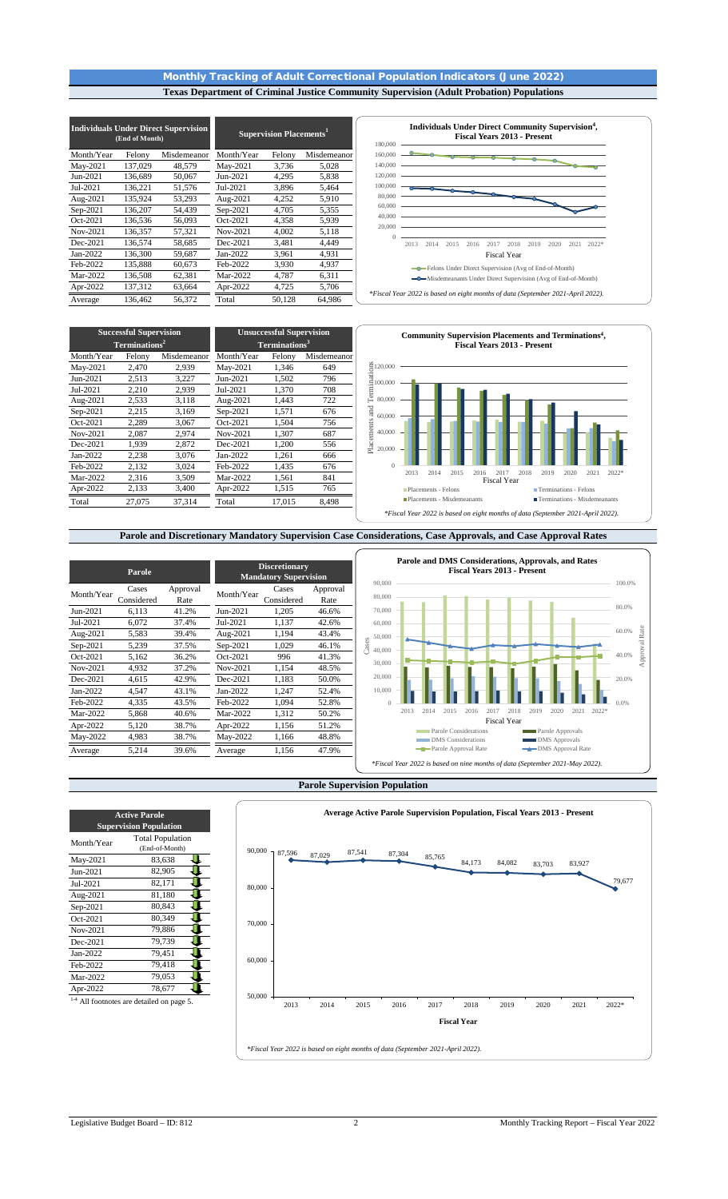## Monthly Tracking of Adult Correctional Population Indicators (June 2022) **Texas Department of Criminal Justice Community Supervision (Adult Probation) Populations**

|            | (End of Month) | <b>Individuals Under Direct Supervision</b> | <b>Supervision Placements</b> <sup>1</sup> |        |             |  |  |  |
|------------|----------------|---------------------------------------------|--------------------------------------------|--------|-------------|--|--|--|
| Month/Year | Felony         | Misdemeanor                                 | Month/Year                                 | Felony | Misdemeanor |  |  |  |
| May-2021   | 137,029        | 48.579                                      | May-2021                                   | 3,736  | 5,028       |  |  |  |
| Jun-2021   | 136.689        | 50,067                                      | Jun-2021                                   | 4,295  | 5,838       |  |  |  |
| Jul-2021   | 136,221        | 51,576                                      | Jul-2021                                   | 3,896  | 5,464       |  |  |  |
| Aug-2021   | 135,924        | 53,293                                      | Aug-2021                                   | 4,252  | 5,910       |  |  |  |
| Sep-2021   | 136,207        | 54,439                                      | Sep-2021                                   | 4,705  | 5,355       |  |  |  |
| Oct-2021   | 136,536        | 56,093                                      | Oct-2021                                   | 4,358  | 5,939       |  |  |  |
| Nov-2021   | 136,357        | 57,321                                      | Nov-2021                                   | 4,002  | 5,118       |  |  |  |
| Dec-2021   | 136,574        | 58,685                                      | Dec-2021                                   | 3,481  | 4.449       |  |  |  |
| Jan-2022   | 136,300        | 59,687                                      | Jan-2022                                   | 3,961  | 4,931       |  |  |  |
| Feb-2022   | 135,888        | 60,673                                      | Feb-2022                                   | 3,930  | 4,937       |  |  |  |
| Mar-2022   | 136,508        | 62,381                                      | Mar-2022                                   | 4,787  | 6,311       |  |  |  |
| Apr-2022   | 137,312        | 63,664                                      | Apr-2022                                   | 4,725  | 5,706       |  |  |  |
| Average    | 136.462        | 56.372                                      | Total                                      | 50,128 | 64,986      |  |  |  |



Month/Year Felony Misdemeanor Month/Year Felony Misdemeanor May-2021 2,470 2,939 May-2021 1,346 649 Jun-2021  $Jul-2021$  2,210 2,939 Jul-2021 1,370 708<br>Aug-2021 2,533 3,118 Aug-2021 1,443 722 Aug-2021 2,533 3,118 Aug-2021 1,443 722<br>Sep-2021 2,215 3,169 Sep-2021 1,571 676 Sep-2021  $\overline{Oct-2021}$  2,289 3,067  $\overline{Oct-2021}$  1,504 756<br>Nov-2021 2,087 2,974  $\overline{Nov-2021}$  1,307 687 Nov-2021 2,087 2,974 Nov-2021 1,307 687 Dec-2021 1,939 2,872 Dec-2021 1,200 556<br>Jan-2022 2,238 3,076 Jan-2022 1,261 666  $\begin{array}{|l|c|c|c|c|c|}\hline \text{Jan-2022} & \text{2,238} & \text{3,076} & \text{Jan-2022} & \text{1,261} & \text{666} \\ \hline \text{Feb-2022} & \text{2,132} & \text{3,024} & \text{Feb-2022} & \text{1,435} & \text{676} \\ \hline \text{Mar-2022} & \text{2,316} & \text{3,509} & \text{Mar-2022} & \text{1,561} & \text{841} \\ \hline \end{array}$ Feb-2022 Mar-2022 2,316 3,509 Mar-2022 1,561 841 Apr-2022 2,133 3,400 Apr-2022 1,515 765 Total 27,075 37,314 Total 17,015 8,498 **Successful Supervision Terminations2 Unsuccessful Supervision Terminations3**



### **Parole and Discretionary Mandatory Supervision Case Considerations, Case Approvals, and Case Approval Rates**

|            | Parole              |                  |            | <b>Discretionary</b><br><b>Mandatory Supervision</b> |                  | 90,000          |                                                                              |      |                                                    |      |      | Parole and DMS Considerations, Approvals, and Rates<br><b>Fiscal Years 2013 - Present</b> |      |                                          |      |       |  |
|------------|---------------------|------------------|------------|------------------------------------------------------|------------------|-----------------|------------------------------------------------------------------------------|------|----------------------------------------------------|------|------|-------------------------------------------------------------------------------------------|------|------------------------------------------|------|-------|--|
| Month/Year | Cases<br>Considered | Approval<br>Rate | Month/Year | Cases<br>Considered                                  | Approval<br>Rate | 80,000          |                                                                              |      |                                                    |      |      |                                                                                           |      |                                          |      |       |  |
| Jun-2021   | 6,113               | 41.2%            | Jun-2021   | 1,205                                                | 46.6%            | 70,000          |                                                                              |      |                                                    |      |      |                                                                                           |      |                                          |      |       |  |
| Jul-2021   | 6,072               | 37.4%            | Jul-2021   | 1,137                                                | 42.6%            | 60,000          |                                                                              |      |                                                    |      |      |                                                                                           |      |                                          |      |       |  |
| Aug-2021   | 5,583               | 39.4%            | Aug-2021   | 1,194                                                | 43.4%            | 50,000          |                                                                              |      |                                                    |      |      |                                                                                           |      |                                          |      |       |  |
| Sep-2021   | 5,239               | 37.5%            | $Sep-2021$ | 1,029                                                | 46.1%            | Cases<br>40,000 |                                                                              |      |                                                    |      |      |                                                                                           |      |                                          |      |       |  |
| Oct-2021   | 5,162               | 36.2%            | Oct-2021   | 996                                                  | 41.3%            |                 |                                                                              |      |                                                    |      |      |                                                                                           |      |                                          |      |       |  |
| Nov-2021   | 4,932               | 37.2%            | Nov-2021   | 1,154                                                | 48.5%            | 30,000          |                                                                              |      |                                                    |      |      |                                                                                           |      |                                          |      |       |  |
| Dec-2021   | 4,615               | 42.9%            | Dec-2021   | 1,183                                                | 50.0%            | 20,000          |                                                                              |      |                                                    |      |      |                                                                                           |      |                                          |      |       |  |
| Jan-2022   | 4,547               | 43.1%            | Jan-2022   | 1,247                                                | 52.4%            | 10,000          |                                                                              |      |                                                    |      |      |                                                                                           |      |                                          |      |       |  |
| Feb-2022   | 4,335               | 43.5%            | Feb-2022   | 1,094                                                | 52.8%            |                 |                                                                              |      |                                                    |      |      |                                                                                           |      |                                          |      |       |  |
| Mar-2022   | 5,868               | 40.6%            | Mar-2022   | 1,312                                                | 50.2%            |                 | 2013                                                                         | 2014 | 2015                                               | 2016 | 2017 | 2018                                                                                      | 2019 | 2020                                     | 2021 | 2022* |  |
| Apr-2022   | 5,120               | 38.7%            | Apr-2022   | 1,156                                                | 51.2%            |                 |                                                                              |      |                                                    |      |      | <b>Fiscal Year</b>                                                                        |      |                                          |      |       |  |
| May-2022   | 4,983               | 38.7%            | May-2022   | 1,166                                                | 48.8%            |                 |                                                                              |      | Parole Considerations<br><b>DMS</b> Considerations |      |      |                                                                                           |      | Parole Approvals<br><b>DMS</b> Approvals |      |       |  |
| Average    | 5,214               | 39.6%            | Average    | 1,156                                                | 47.9%            |                 |                                                                              |      | -Parole Approval Rate                              |      |      |                                                                                           |      | -DMS Approval Rate                       |      |       |  |
|            |                     |                  |            |                                                      |                  |                 | *Fiscal Year 2022 is based on nine months of data (September 2021-May 2022). |      |                                                    |      |      |                                                                                           |      |                                          |      |       |  |

#### **Parole Supervision Population**



| <b>Active Parole</b><br><b>Supervision Population</b> |                                           |  |  |  |  |  |  |  |  |
|-------------------------------------------------------|-------------------------------------------|--|--|--|--|--|--|--|--|
| Month/Year                                            | <b>Total Population</b><br>(End-of-Month) |  |  |  |  |  |  |  |  |
| May-2021                                              | 83,638                                    |  |  |  |  |  |  |  |  |
| Jun-2021                                              | 82,905                                    |  |  |  |  |  |  |  |  |
| Jul-2021                                              | 82,171                                    |  |  |  |  |  |  |  |  |
| Aug-2021                                              | 81,180                                    |  |  |  |  |  |  |  |  |
| Sep-2021                                              | 80,843                                    |  |  |  |  |  |  |  |  |
| Oct-2021                                              | 80.349                                    |  |  |  |  |  |  |  |  |
| Nov-2021                                              | 79,886                                    |  |  |  |  |  |  |  |  |
| Dec-2021                                              | 79,739                                    |  |  |  |  |  |  |  |  |
| Jan-2022                                              | 79,451                                    |  |  |  |  |  |  |  |  |
| Feb-2022                                              | 79,418                                    |  |  |  |  |  |  |  |  |
| Mar-2022                                              | 79,053                                    |  |  |  |  |  |  |  |  |
| Apr-2022                                              | 78,677                                    |  |  |  |  |  |  |  |  |
| $1-4$                                                 | All footnotes are detailed on page 5.     |  |  |  |  |  |  |  |  |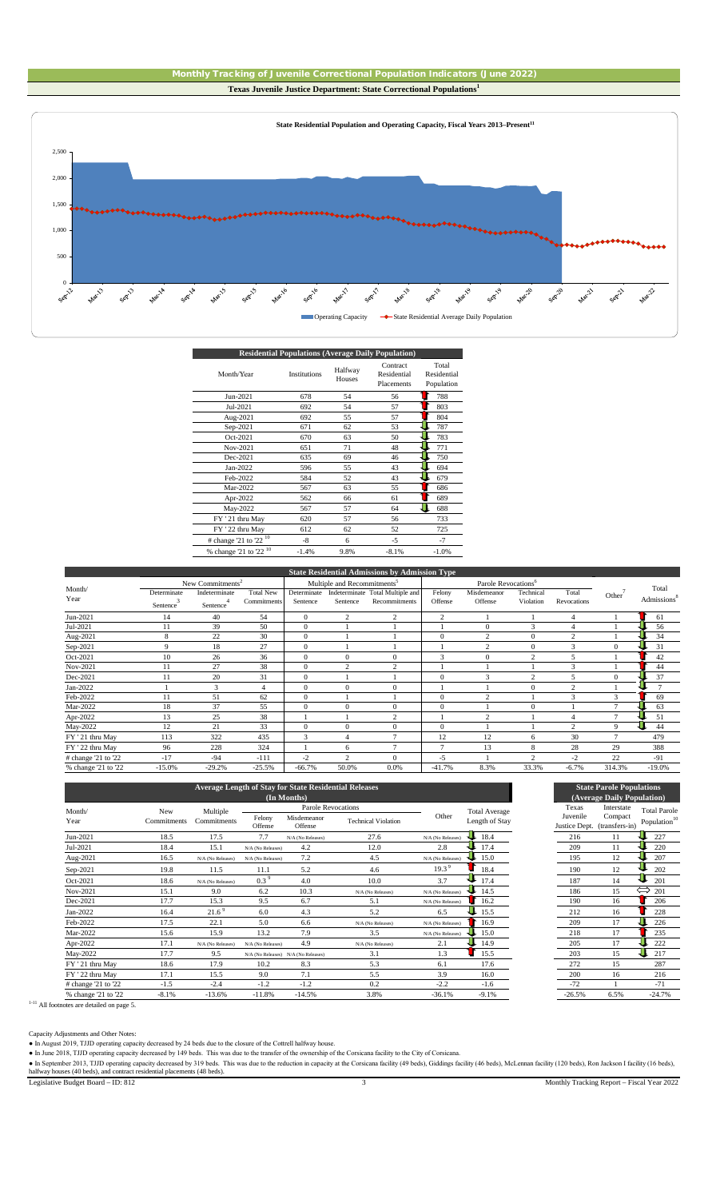



| <b>Residential Populations (Average Daily Population)</b> |                     |                   |                                       |                                    |  |  |  |  |  |
|-----------------------------------------------------------|---------------------|-------------------|---------------------------------------|------------------------------------|--|--|--|--|--|
| Month/Year                                                | <b>Institutions</b> | Halfway<br>Houses | Contract<br>Residential<br>Placements | Total<br>Residential<br>Population |  |  |  |  |  |
| Jun-2021                                                  | 678                 | 54                | 56                                    | 788                                |  |  |  |  |  |
| Jul-2021                                                  | 692                 | 54                | 57                                    | 803                                |  |  |  |  |  |
| Aug-2021                                                  | 692                 | 55                | 57                                    | 804                                |  |  |  |  |  |
| Sep-2021                                                  | 671                 | 62                | 53                                    | 787                                |  |  |  |  |  |
| Oct-2021                                                  | 670                 | 63                | 50                                    | 783                                |  |  |  |  |  |
| Nov-2021                                                  | 651                 | 71                | 48                                    | 771                                |  |  |  |  |  |
| Dec-2021                                                  | 635                 | 69                | 46                                    | 750                                |  |  |  |  |  |
| Jan-2022                                                  | 596                 | 55                | 43                                    | 694                                |  |  |  |  |  |
| Feb-2022                                                  | 584                 | 52                | 43                                    | 679                                |  |  |  |  |  |
| Mar-2022                                                  | 567                 | 63                | 55                                    | 686                                |  |  |  |  |  |
| Apr-2022                                                  | 562                 | 66                | 61                                    | 689                                |  |  |  |  |  |
| May-2022                                                  | 567                 | 57                | 64                                    | 688                                |  |  |  |  |  |
| FY '21 thru May                                           | 620                 | 57                | 56                                    | 733                                |  |  |  |  |  |
| FY ' 22 thru May                                          | 612                 | 62                | 52                                    | 725                                |  |  |  |  |  |
| $\#$ change '21 to '22 <sup>10</sup>                      | -8                  | 6                 | $-5$                                  | $-7$                               |  |  |  |  |  |
| $%$ change '21 to '22 <sup>10</sup>                       | $-1.4%$             | 9.8%              | $-8.1%$                               | $-1.0%$                            |  |  |  |  |  |

|                     |                       |                              |                  |              |                                         | <b>State Residential Admissions by Admission Type</b> |                |                                 |                |                |                    |                         |
|---------------------|-----------------------|------------------------------|------------------|--------------|-----------------------------------------|-------------------------------------------------------|----------------|---------------------------------|----------------|----------------|--------------------|-------------------------|
|                     |                       | New Commitments <sup>2</sup> |                  |              | Multiple and Recommitments <sup>5</sup> |                                                       |                | Parole Revocations <sup>6</sup> |                |                |                    |                         |
| Month/              | Determinate           | Indeterminate                | <b>Total New</b> | Determinate  |                                         | Indeterminate Total Multiple and                      | Felony         | Misdemeanor                     | Technical      | Total          | Other <sup>'</sup> | Total                   |
| Year                | Sentence <sup>®</sup> | Sentence <sup>4</sup>        | Commitments      | Sentence     | Sentence                                | Recommitments                                         | Offense        | Offense                         | Violation      | Revocations    |                    | Admissions <sup>8</sup> |
| Jun-2021            | 14                    | 40                           | 54               | $\mathbf{0}$ | $\overline{c}$                          | $\overline{2}$                                        | $\overline{c}$ |                                 |                | 4              |                    | 61                      |
| Jul-2021            | 11                    | 39                           | 50               | $\theta$     |                                         |                                                       |                | $\Omega$                        | 3              | $\overline{4}$ |                    | 56                      |
| Aug-2021            | 8                     | 22                           | 30               | $\theta$     |                                         |                                                       | $\Omega$       | $\overline{2}$                  | $\Omega$       | $\overline{c}$ |                    | 34                      |
| Sep-2021            | 9                     | 18                           | 27               | $\theta$     |                                         |                                                       |                | $\overline{2}$                  | $\Omega$       | 3              | $\Omega$           | 31                      |
| Oct-2021            | 10                    | 26                           | 36               | $\theta$     | $\mathbf{0}$                            | $\mathbf{0}$                                          | 3              | $\mathbf{0}$                    | $\sim$         |                |                    | 42                      |
| Nov-2021            | 11                    | 27                           | 38               | $\theta$     | $\overline{2}$                          | $\overline{c}$                                        |                |                                 |                | 3              |                    | 44                      |
| Dec-2021            | 11                    | 20                           | 31               | $\theta$     |                                         |                                                       | $\Omega$       | 3                               | $\overline{2}$ | 5              | 0                  | 37                      |
| Jan-2022            |                       | 3                            | 4                | $\mathbf{0}$ | $\mathbf{0}$                            | $\mathbf{0}$                                          |                |                                 | $\Omega$       | $\mathcal{D}$  |                    | $\overline{ }$          |
| Feb-2022            | 11                    | 51                           | 62               | $\theta$     |                                         |                                                       | $\Omega$       | $\overline{2}$                  |                | 3              | 3                  | 69                      |
| Mar-2022            | 18                    | 37                           | 55               | $\mathbf{0}$ | $\mathbf{0}$                            | $\mathbf{0}$                                          | $\mathbf{0}$   |                                 | $\mathbf{0}$   |                | 7                  | 63                      |
| Apr-2022            | 13                    | 25                           | 38               |              |                                         | $\overline{c}$                                        |                | $\overline{2}$                  |                | 4              | ⇁                  | 51                      |
| May-2022            | 12                    | 21                           | 33               | $\mathbf{0}$ | $\mathbf{0}$                            | $\mathbf{0}$                                          | $\Omega$       |                                 |                | $\sim$         | 9                  | 44                      |
| FY '21 thru May     | 113                   | 322                          | 435              | 3            | $\overline{4}$                          | $\overline{7}$                                        | 12             | 12                              | 6              | 30             | $\tau$             | 479                     |
| FY ' 22 thru May    | 96                    | 228                          | 324              |              | 6                                       | $\overline{7}$                                        |                | 13                              | 8              | 28             | 29                 | 388                     |
| # change '21 to '22 | $-17$                 | $-94$                        | $-111$           | $-2$         | $\mathcal{L}$                           | $\theta$                                              | $-5$           |                                 | $\sim$         | $-2$           | 22                 | $-91$                   |
| % change '21 to '22 | $-15.0%$              | $-29.2%$                     | $-25.5%$         | $-66.7%$     | 50.0%                                   | 0.0%                                                  | $-41.7%$       | 8.3%                            | 33.3%          | $-6.7%$        | 314.3%             | $-19.0%$                |

|                     |             |                   |                   | (In Months)                         | <b>Average Length of Stav for State Residential Releases</b> |                   |                      |          | <b>State Parole Populations</b><br>(Average Daily Population) |                          |
|---------------------|-------------|-------------------|-------------------|-------------------------------------|--------------------------------------------------------------|-------------------|----------------------|----------|---------------------------------------------------------------|--------------------------|
| Month/              | New         | Multiple          |                   | Parole Revocations                  |                                                              |                   | <b>Total Average</b> | Texas    | Interstate                                                    | <b>Total Par</b>         |
| Year                | Commitments | Commitments       | Felony<br>Offense | Misdemeanor<br>Offense              | <b>Technical Violation</b>                                   | Other             | Length of Stay       | Juvenile | Compact<br>Justice Dept. (transfers-in)                       | Populatio                |
| Jun-2021            | 18.5        | 17.5              | 7.7               | N/A (No Releases)                   | 27.6                                                         | N/A (No Releases) | 18.4                 | 216      | 11                                                            | 227                      |
| Jul-2021            | 18.4        | 15.1              | N/A (No Releases) | 4.2                                 | 12.0                                                         | 2.8               | 17.4                 | 209      | 11                                                            | 220                      |
| Aug-2021            | 16.5        | N/A (No Releases) | N/A (No Releases) | 7.2                                 | 4.5                                                          | N/A (No Releases) | 15.0                 | 195      | 12                                                            | 207                      |
| Sep-2021            | 19.8        | 11.5              | 11.1              | 5.2                                 | 4.6                                                          | 19.3 <sup>9</sup> | 18.4                 | 190      | 12                                                            | 202                      |
| Oct-2021            | 18.6        | N/A (No Releases) | $0.3^9$           | 4.0                                 | 10.0                                                         | 3.7               | 17.4                 | 187      | 14                                                            | 201                      |
| Nov-2021            | 15.1        | 9.0               | 6.2               | 10.3                                | N/A (No Releases)                                            | N/A (No Releases) | 14.5                 | 186      | 15                                                            | $\Leftrightarrow$<br>201 |
| Dec-2021            | 17.7        | 15.3              | 9.5               | 6.7                                 | 5.1                                                          | N/A (No Releases) | 16.2                 | 190      | 16                                                            | 206                      |
| Jan-2022            | 16.4        | 21.6 <sup>9</sup> | 6.0               | 4.3                                 | 5.2                                                          | 6.5               | 15.5                 | 212      | 16                                                            | 228                      |
| Feb-2022            | 17.5        | 22.1              | 5.0               | 6.6                                 | N/A (No Releases)                                            | N/A (No Releases) | 16.9                 | 209      | 17                                                            | 226                      |
| Mar-2022            | 15.6        | 15.9              | 13.2              | 7.9                                 | 3.5                                                          | N/A (No Releases) | 15.0                 | 218      | 17                                                            | 235                      |
| Apr-2022            | 17.1        | N/A (No Releases) | N/A (No Releases) | 4.9                                 | N/A (No Releases)                                            | 2.1               | 14.9                 | 205      | 17                                                            | 222                      |
| May-2022            | 17.7        | 9.5               |                   | N/A (No Releases) N/A (No Releases) | 3.1                                                          | 1.3               | 15.5                 | 203      | 15                                                            | U<br>217                 |
| FY ' 21 thru May    | 18.6        | 17.9              | 10.2              | 8.3                                 | 5.3                                                          | 6.1               | 17.6                 | 272      | 15                                                            | 287                      |
| FY ' 22 thru May    | 17.1        | 15.5              | 9.0               | 7.1                                 | 5.5                                                          | 3.9               | 16.0                 | 200      | 16                                                            | 216                      |
| # change '21 to '22 | $-1.5$      | $-2.4$            | $-1.2$            | $-1.2$                              | 0.2                                                          | $-2.2$            | $-1.6$               | $-72$    |                                                               | $-71$                    |
| % change '21 to '22 | $-8.1%$     | $-13.6%$          | $-11.8%$          | $-14.5%$                            | 3.8%                                                         | $-36.1%$          | $-9.1%$              | $-26.5%$ | 6.5%                                                          | $-24.7%$                 |

| <b>State Parole Populations</b> |                              |                          |  |  |  |  |  |  |
|---------------------------------|------------------------------|--------------------------|--|--|--|--|--|--|
|                                 | (Average Daily Population)   |                          |  |  |  |  |  |  |
| Texas                           | Interstate                   | <b>Total Parole</b>      |  |  |  |  |  |  |
| Juvenile                        | Compact                      | Population <sup>10</sup> |  |  |  |  |  |  |
|                                 | Justice Dept. (transfers-in) |                          |  |  |  |  |  |  |
| 216                             | 11                           | 227                      |  |  |  |  |  |  |
| 209                             | 11                           | 220                      |  |  |  |  |  |  |
| 195                             | 12                           | 207                      |  |  |  |  |  |  |
| 190                             | 12                           | 202                      |  |  |  |  |  |  |
| 187                             | 14                           | 201                      |  |  |  |  |  |  |
| 186                             | 15                           | 201                      |  |  |  |  |  |  |
| 190                             | 16                           | 206                      |  |  |  |  |  |  |
| 212                             | 16                           | 228                      |  |  |  |  |  |  |
| 209                             | 17                           | 226                      |  |  |  |  |  |  |
| 218                             | 17                           | 235                      |  |  |  |  |  |  |
| 205                             | 17                           | 222                      |  |  |  |  |  |  |
| 203                             | 15                           | 217                      |  |  |  |  |  |  |
| 272                             | 15                           | 287                      |  |  |  |  |  |  |
| 200                             | 16                           | 216                      |  |  |  |  |  |  |
| -72                             | 1                            | -71                      |  |  |  |  |  |  |
| $-26.5%$                        | 6.5%                         | $-24.7%$                 |  |  |  |  |  |  |

<sup>1-11</sup> All footnotes are detailed on page 5.

Capacity Adjustments and Other Notes:

● In August 2019, TJJD operating capacity decreased by 24 beds due to the closure of the Cottrell halfway house.

● In June 2018, TJJD operating capacity decreased by 149 beds. This was due to the transfer of the ownership of the Corsicana facility to the City of Corsicana.

• In September 2013, TJJD operating capacity decreased by 319 beds. This was due to the reduction in capacity at the Corsicana facility (49 beds), Giddings facility (46 beds), McLennan facility (120 beds), Ron Jackson I fa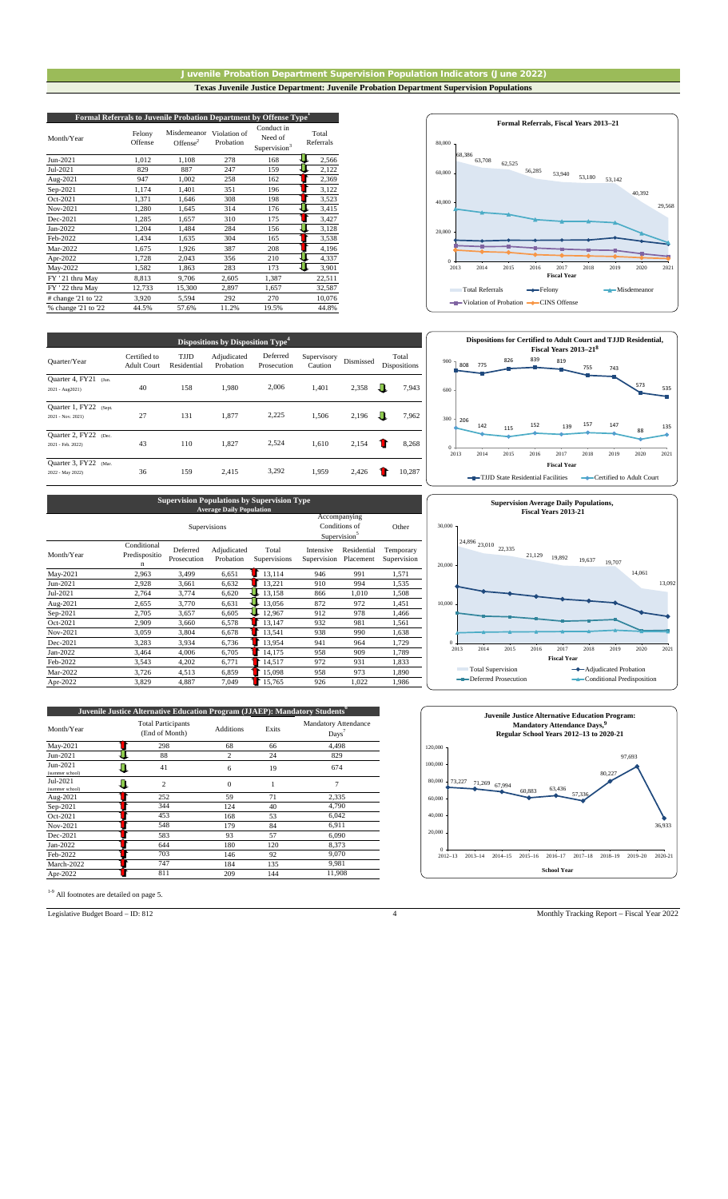#### Juvenile Probation Department Supervision Population Indicators (June 2022) **Texas Juvenile Justice Department: Juvenile Probation Department Supervision Populations**

| Formal Referrals to Juvenile Probation Department by Offense Type <sup>1</sup> |                   |                            |                           |                                                   |                    |  |  |  |  |
|--------------------------------------------------------------------------------|-------------------|----------------------------|---------------------------|---------------------------------------------------|--------------------|--|--|--|--|
| Month/Year                                                                     | Felony<br>Offense | Misdemeanor<br>Offense $2$ | Violation of<br>Probation | Conduct in<br>Need of<br>Supervision <sup>3</sup> | Total<br>Referrals |  |  |  |  |
| Jun-2021                                                                       | 1,012             | 1,108                      | 278                       | 168                                               | 2,566              |  |  |  |  |
| Jul-2021                                                                       | 829               | 887                        | 247                       | 159                                               | 2,122              |  |  |  |  |
| Aug-2021                                                                       | 947               | 1,002                      | 258                       | 162                                               | 2,369              |  |  |  |  |
| Sep-2021                                                                       | 1,174             | 1,401                      | 351                       | 196                                               | 3,122              |  |  |  |  |
| Oct-2021                                                                       | 1,371             | 1,646                      | 308                       | 198                                               | 3,523              |  |  |  |  |
| Nov-2021                                                                       | 1,280             | 1,645                      | 314                       | 176                                               | 3,415              |  |  |  |  |
| Dec-2021                                                                       | 1,285             | 1,657                      | 310                       | 175                                               | 3,427              |  |  |  |  |
| Jan-2022                                                                       | 1,204             | 1,484                      | 284                       | 156                                               | 3,128              |  |  |  |  |
| Feb-2022                                                                       | 1,434             | 1,635                      | 304                       | 165                                               | 3,538              |  |  |  |  |
| Mar-2022                                                                       | 1,675             | 1,926                      | 387                       | 208                                               | 4,196              |  |  |  |  |
| Apr-2022                                                                       | 1,728             | 2,043                      | 356                       | 210                                               | 4,337              |  |  |  |  |
| May-2022                                                                       | 1,582             | 1,863                      | 283                       | 173                                               | 3,901              |  |  |  |  |
| FY ' 21 thru May                                                               | 8,813             | 9,706                      | 2,605                     | 1,387                                             | 22,511             |  |  |  |  |
| FY ' 22 thru May                                                               | 12,733            | 15,300                     | 2,897                     | 1,657                                             | 32,587             |  |  |  |  |
| # change 21 to 22                                                              | 3,920             | 5,594                      | 292                       | 270                                               | 10,076             |  |  |  |  |
| % change '21 to '22                                                            | 44.5%             | 57.6%                      | 11.2%                     | 19.5%                                             | 44.8%              |  |  |  |  |

| Quarter/Year                                   | Certified to<br><b>Adult Court</b> | TJJD<br>Residential | Adjudicated<br>Probation | Deferred<br>Prosecution | Supervisory<br>Caution | Dismissed | Total<br><b>Dispositions</b> |
|------------------------------------------------|------------------------------------|---------------------|--------------------------|-------------------------|------------------------|-----------|------------------------------|
| Quarter 4, FY21<br>(Jun.<br>2021 - Aug2021)    | 40                                 | 158                 | 1,980                    | 2,006                   | 1,401                  | 2,358     | ╨<br>7,943                   |
| Quarter 1, FY22<br>(Sept.<br>2021 - Nov. 2021) | 27                                 | 131                 | 1,877                    | 2,225                   | 1,506                  | 2,196     | ш<br>7,962                   |
| Quarter 2, FY22<br>(Dec.<br>2021 - Feb. 2022)  | 43                                 | 110                 | 1.827                    | 2,524                   | 1.610                  | 2,154     | 8,268                        |
| Quarter 3, FY22<br>(Mar.<br>2022 - May 2022)   | 36                                 | 159                 | 2,415                    | 3,292                   | 1,959                  | 2,426     | 10,287                       |

| <b>Supervision Populations by Supervision Type</b><br><b>Average Daily Population</b> |                                   |                         |                          |                       |                          |                                                           |                          |  |  |  |
|---------------------------------------------------------------------------------------|-----------------------------------|-------------------------|--------------------------|-----------------------|--------------------------|-----------------------------------------------------------|--------------------------|--|--|--|
| Supervisions                                                                          |                                   |                         |                          |                       |                          | Accompanying<br>Conditions of<br>Supervision <sup>5</sup> |                          |  |  |  |
| Month/Year                                                                            | Conditional<br>Predispositio<br>n | Deferred<br>Prosecution | Adjudicated<br>Probation | Total<br>Supervisions | Intensive<br>Supervision | Residential<br>Placement                                  | Temporary<br>Supervision |  |  |  |
| May-2021                                                                              | 2,963                             | 3,499                   | 6,651                    | 13,114                | 946                      | 991                                                       | 1,571                    |  |  |  |
| Jun-2021                                                                              | 2,928                             | 3,661                   | 6,632                    | 13,221                | 910                      | 994                                                       | 1,535                    |  |  |  |
| Jul-2021                                                                              | 2,764                             | 3,774                   | 6,620                    | 13,158                | 866                      | 1,010                                                     | 1,508                    |  |  |  |
| Aug-2021                                                                              | 2,655                             | 3,770                   | 6,631                    | 13,056                | 872                      | 972                                                       | 1,451                    |  |  |  |
| Sep-2021                                                                              | 2,705                             | 3,657                   | 6,605                    | 12,967                | 912                      | 978                                                       | 1,466                    |  |  |  |
| Oct-2021                                                                              | 2,909                             | 3.660                   | 6,578                    | 13.147                | 932                      | 981                                                       | 1,561                    |  |  |  |
| Nov-2021                                                                              | 3,059                             | 3,804                   | 6,678                    | 13,541                | 938                      | 990                                                       | 1,638                    |  |  |  |
| Dec-2021                                                                              | 3,283                             | 3,934                   | 6,736                    | 13,954                | 941                      | 964                                                       | 1,729                    |  |  |  |
| Jan-2022                                                                              | 3,464                             | 4,006                   | 6,705                    | 14,175                | 958                      | 909                                                       | 1,789                    |  |  |  |
| Feb-2022                                                                              | 3,543                             | 4,202                   | 6,771                    | 14,517                | 972                      | 931                                                       | 1,833                    |  |  |  |
| Mar-2022                                                                              | 3,726                             | 4,513                   | 6,859                    | 15,098                | 958                      | 973                                                       | 1,890                    |  |  |  |
| Apr-2022                                                                              | 3,829                             | 4,887                   | 7,049                    | 15.765                | 926                      | 1,022                                                     | 1,986                    |  |  |  |

| Juvenile Justice Alternative Education Program (JJAEP): Mandatory Students <sup>6</sup> |                                             |                  |       |                                                   |  |  |  |  |  |  |
|-----------------------------------------------------------------------------------------|---------------------------------------------|------------------|-------|---------------------------------------------------|--|--|--|--|--|--|
| Month/Year                                                                              | <b>Total Participants</b><br>(End of Month) | <b>Additions</b> | Exits | <b>Mandatory Attendance</b><br>$_{\text{Days}}^7$ |  |  |  |  |  |  |
| May-2021                                                                                | 298                                         | 68               | 66    | 4.498                                             |  |  |  |  |  |  |
| Jun-2021                                                                                | 88                                          | $\overline{c}$   | 24    | 829                                               |  |  |  |  |  |  |
| Jun-2021<br>(summer school)                                                             | 41                                          | 6                | 19    | 674                                               |  |  |  |  |  |  |
| Jul-2021<br>(summer school)                                                             | $\overline{2}$                              | $\Omega$         |       | 7                                                 |  |  |  |  |  |  |
| Aug-2021                                                                                | 252                                         | 59               | 71    | 2.335                                             |  |  |  |  |  |  |
| Sep-2021                                                                                | 344                                         | 124              | 40    | 4,790                                             |  |  |  |  |  |  |
| Oct-2021                                                                                | 453                                         | 168              | 53    | 6,042                                             |  |  |  |  |  |  |
| Nov-2021                                                                                | 548                                         | 179              | 84    | 6,911                                             |  |  |  |  |  |  |
| Dec-2021                                                                                | 583                                         | 93               | 57    | 6,090                                             |  |  |  |  |  |  |
| Jan-2022                                                                                | 644                                         | 180              | 120   | 8,373                                             |  |  |  |  |  |  |
| Feb-2022                                                                                | 703                                         | 146              | 92    | 9.070                                             |  |  |  |  |  |  |
| March-2022                                                                              | 747                                         | 184              | 135   | 9,981                                             |  |  |  |  |  |  |
| Apr-2022                                                                                | 811                                         | 209              | 144   | 11,908                                            |  |  |  |  |  |  |

1-9 All footnotes are detailed on page 5.









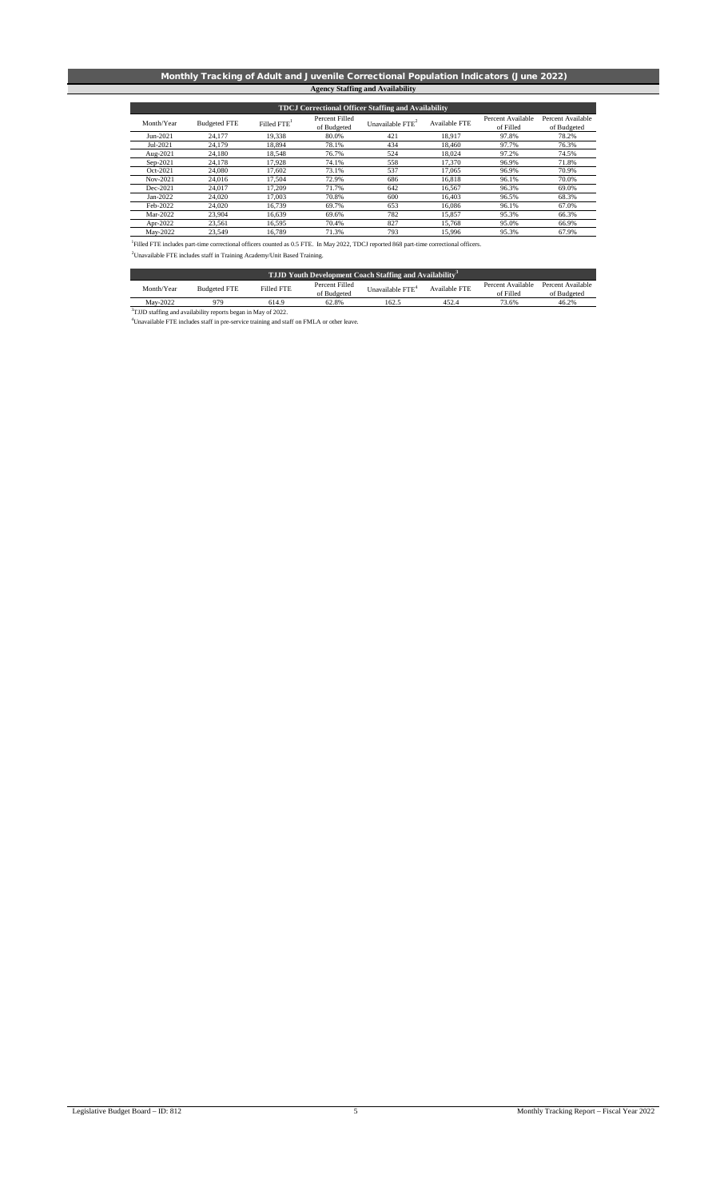### Monthly Tracking of Adult and Juvenile Correctional Population Indicators (June 2022) **Agency Staffing and Availability**

| <b>TDCJ</b> Correctional Officer Staffing and Availability                                                                                                                                                                      |                     |                         |                               |                    |               |                                |                                  |  |  |  |
|---------------------------------------------------------------------------------------------------------------------------------------------------------------------------------------------------------------------------------|---------------------|-------------------------|-------------------------------|--------------------|---------------|--------------------------------|----------------------------------|--|--|--|
| Month/Year                                                                                                                                                                                                                      | <b>Budgeted FTE</b> | Filled FTE <sup>1</sup> | Percent Filled<br>of Budgeted | Unavailable $FTE2$ | Available FTE | Percent Available<br>of Filled | Percent Available<br>of Budgeted |  |  |  |
| Jun-2021                                                                                                                                                                                                                        | 24,177              | 19,338                  | 80.0%                         | 421                | 18.917        | 97.8%                          | 78.2%                            |  |  |  |
| Jul-2021                                                                                                                                                                                                                        | 24.179              | 18.894                  | 78.1%                         | 434                | 18.460        | 97.7%                          | 76.3%                            |  |  |  |
| Aug-2021                                                                                                                                                                                                                        | 24,180              | 18,548                  | 76.7%                         | 524                | 18.024        | 97.2%                          | 74.5%                            |  |  |  |
| Sep-2021                                                                                                                                                                                                                        | 24,178              | 17.928                  | 74.1%                         | 558                | 17.370        | 96.9%                          | 71.8%                            |  |  |  |
| Oct-2021                                                                                                                                                                                                                        | 24,080              | 17.602                  | 73.1%                         | 537                | 17.065        | 96.9%                          | 70.9%                            |  |  |  |
| Nov-2021                                                                                                                                                                                                                        | 24.016              | 17.504                  | 72.9%                         | 686                | 16.818        | 96.1%                          | 70.0%                            |  |  |  |
| Dec-2021                                                                                                                                                                                                                        | 24.017              | 17.209                  | 71.7%                         | 642                | 16.567        | 96.3%                          | 69.0%                            |  |  |  |
| Jan-2022                                                                                                                                                                                                                        | 24,020              | 17,003                  | 70.8%                         | 600                | 16,403        | 96.5%                          | 68.3%                            |  |  |  |
| Feb-2022                                                                                                                                                                                                                        | 24,020              | 16,739                  | 69.7%                         | 653                | 16,086        | 96.1%                          | 67.0%                            |  |  |  |
| Mar-2022                                                                                                                                                                                                                        | 23,904              | 16.639                  | 69.6%                         | 782                | 15,857        | 95.3%                          | 66.3%                            |  |  |  |
| Apr-2022                                                                                                                                                                                                                        | 23,561              | 16.595                  | 70.4%                         | 827                | 15.768        | 95.0%                          | 66.9%                            |  |  |  |
| May-2022                                                                                                                                                                                                                        | 23.549              | 16.789                  | 71.3%                         | 793                | 15.996        | 95.3%                          | 67.9%                            |  |  |  |
| Filled FTE includes part-time correctional officers counted as 0.5 FTE. In May 2022, TDCJ reported 868 part-time correctional officers.<br><sup>2</sup> Unavailable FTE includes staff in Training Academy/Unit Based Training. |                     |                         |                               |                    |               |                                |                                  |  |  |  |

| <b>TJJD Youth Development Coach Staffing and Availability</b> <sup>3</sup> |                     |            |                |                              |               |                   |                   |  |  |  |  |
|----------------------------------------------------------------------------|---------------------|------------|----------------|------------------------------|---------------|-------------------|-------------------|--|--|--|--|
| Month/Year                                                                 | <b>Budgeted FTE</b> | Filled FTE | Percent Filled | Unavailable FTE <sup>4</sup> | Available FTE | Percent Available | Percent Available |  |  |  |  |
|                                                                            |                     |            | of Budgeted    |                              |               | of Filled         | of Budgeted       |  |  |  |  |
| May-2022                                                                   | 979                 | 614.9      | 62.8%          | 162.5                        | 452.4         | 73.6%             | 46.2%             |  |  |  |  |
| <sup>3</sup> TJJD staffing and availability reports began in May of 2022.  |                     |            |                |                              |               |                   |                   |  |  |  |  |

4 Unavailable FTE includes staff in pre-service training and staff on FMLA or other leave.